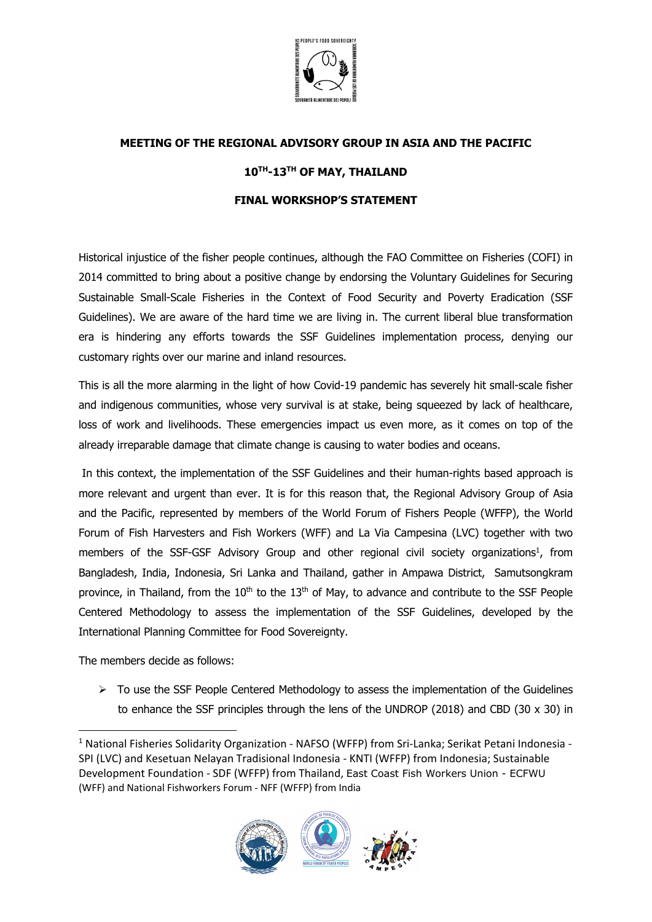

## **MEETING OF THE REGIONAL ADVISORY GROUP IN ASIA AND THE PACIFIC**

## **10TH-13TH OF MAY, THAILAND**

## **FINAL WORKSHOP'S STATEMENT**

Historical injustice of the fisher people continues, although the FAO Committee on Fisheries (COFI) in 2014 committed to bring about a positive change by endorsing the Voluntary Guidelines for Securing Sustainable Small-Scale Fisheries in the Context of Food Security and Poverty Eradication (SSF Guidelines). We are aware of the hard time we are living in. The current liberal blue transformation era is hindering any efforts towards the SSF Guidelines implementation process, denying our customary rights over our marine and inland resources.

This is all the more alarming in the light of how Covid-19 pandemic has severely hit small-scale fisher and indigenous communities, whose very survival is at stake, being squeezed by lack of healthcare, loss of work and livelihoods. These emergencies impact us even more, as it comes on top of the already irreparable damage that climate change is causing to water bodies and oceans.

In this context, the implementation of the SSF Guidelines and their human-rights based approach is more relevant and urgent than ever. It is for this reason that, the Regional Advisory Group of Asia and the Pacific, represented by members of the World Forum of Fishers People (WFFP), the World Forum of Fish Harvesters and Fish Workers (WFF) and La Via Campesina (LVC) together with two members of the SSF-GSF Advisory Group and other regional civil society organizations<sup>1</sup>, from Bangladesh, India, Indonesia, Sri Lanka and Thailand, gather in Ampawa District, Samutsongkram province, in Thailand, from the  $10<sup>th</sup>$  to the  $13<sup>th</sup>$  of May, to advance and contribute to the SSF People Centered Methodology to assess the implementation of the SSF Guidelines, developed by the International Planning Committee for Food Sovereignty.

The members decide as follows:

 $\triangleright$  To use the SSF People Centered Methodology to assess the implementation of the Guidelines to enhance the SSF principles through the lens of the UNDROP (2018) and CBD (30  $\times$  30) in

<sup>1</sup> National Fisheries Solidarity Organization - NAFSO (WFFP) from Sri-Lanka; Serikat Petani Indonesia - SPI (LVC) and Kesetuan Nelayan Tradisional Indonesia - KNTI (WFFP) from Indonesia; Sustainable Development Foundation - SDF (WFFP) from Thailand, East Coast Fish Workers Union - ECFWU (WFF) and National Fishworkers Forum - NFF (WFFP) from India